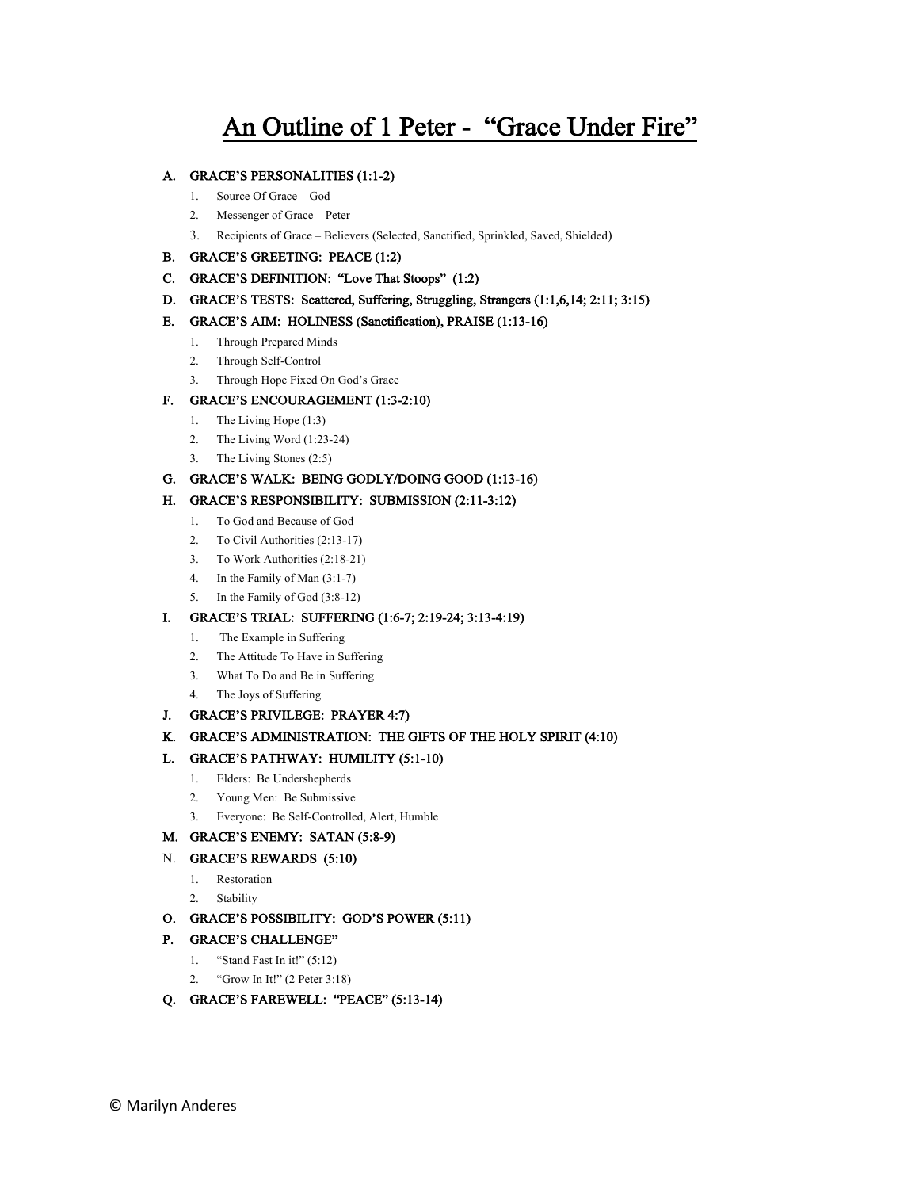# An Outline of 1 Peter - "Grace Under Fire"

#### A. GRACE'S PERSONALITIES (1:1-2)

- 1. Source Of Grace God
- 2. Messenger of Grace Peter
- 3. Recipients of Grace Believers (Selected, Sanctified, Sprinkled, Saved, Shielded)
- B. GRACE'S GREETING: PEACE (1:2)
- C. GRACE'S DEFINITION: "Love That Stoops" (1:2)
- D. GRACE'S TESTS: Scattered, Suffering, Struggling, Strangers (1:1,6,14; 2:11; 3:15)

#### E. GRACE'S AIM: HOLINESS (Sanctification), PRAISE (1:13-16)

- 1. Through Prepared Minds
- 2. Through Self-Control
- 3. Through Hope Fixed On God's Grace

# F. GRACE'S ENCOURAGEMENT (1:3-2:10)

- 1. The Living Hope (1:3)
- 2. The Living Word (1:23-24)
- 3. The Living Stones (2:5)

### G. GRACE'S WALK: BEING GODLY/DOING GOOD (1:13-16)

#### H. GRACE'S RESPONSIBILITY: SUBMISSION (2:11-3:12)

- 1. To God and Because of God
- 2. To Civil Authorities (2:13-17)
- 3. To Work Authorities (2:18-21)
- 4. In the Family of Man (3:1-7)
- 5. In the Family of God (3:8-12)

#### I. GRACE'S TRIAL: SUFFERING (1:6-7; 2:19-24; 3:13-4:19)

- 1. The Example in Suffering
- 2. The Attitude To Have in Suffering
- 3. What To Do and Be in Suffering
- 4. The Joys of Suffering

#### J. GRACE'S PRIVILEGE: PRAYER 4:7)

# K. GRACE'S ADMINISTRATION: THE GIFTS OF THE HOLY SPIRIT (4:10)

#### L. GRACE'S PATHWAY: HUMILITY (5:1-10)

- 1. Elders: Be Undershepherds
- 2. Young Men: Be Submissive
- 3. Everyone: Be Self-Controlled, Alert, Humble

# M. GRACE'S ENEMY: SATAN (5:8-9)

# N. GRACE'S REWARDS (5:10)

- 1. Restoration
- 2. Stability

# O. GRACE'S POSSIBILITY: GOD'S POWER (5:11)

# P. GRACE'S CHALLENGE"

- 1. "Stand Fast In it!" (5:12)
- 2. "Grow In It!" (2 Peter 3:18)
- Q. GRACE'S FAREWELL: "PEACE" (5:13-14)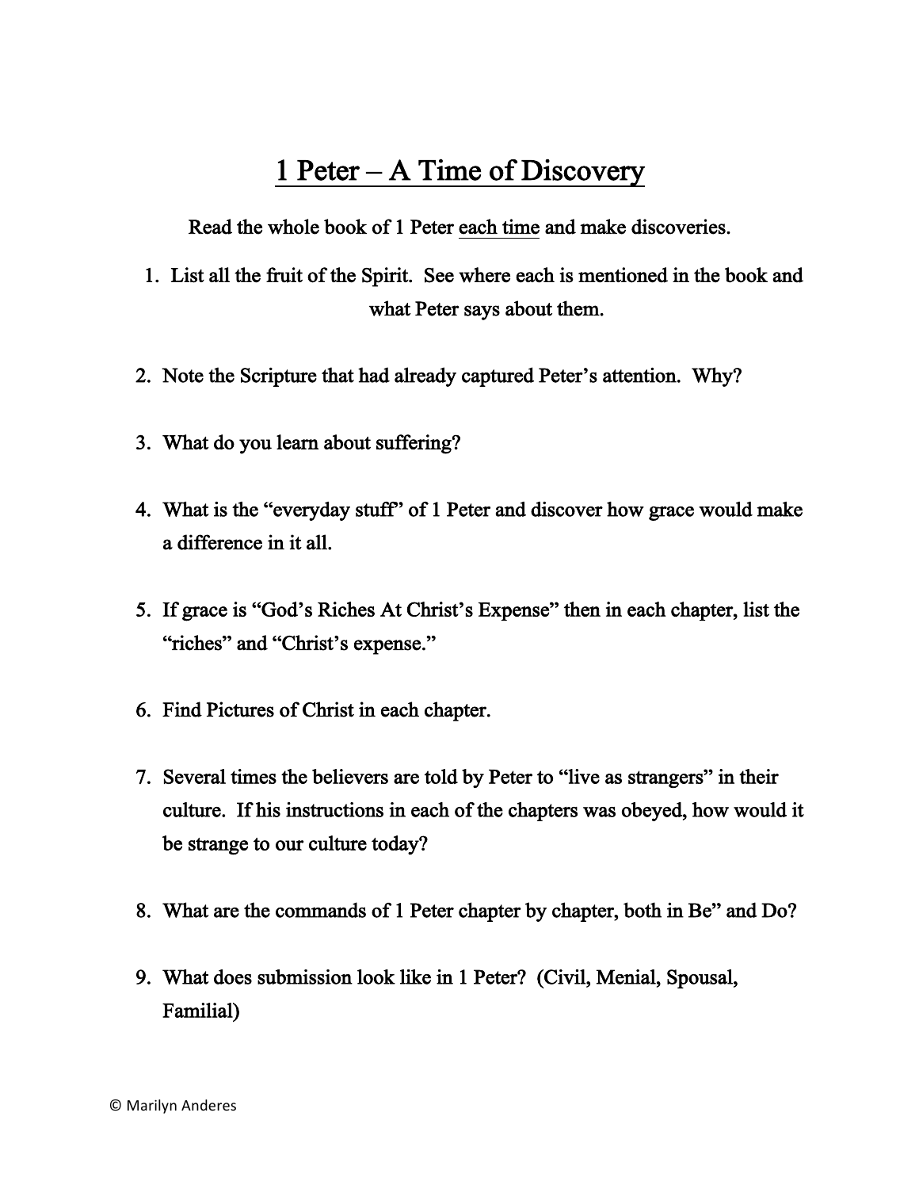# 1 Peter – A Time of Discovery

Read the whole book of 1 Peter each time and make discoveries.

- 1. List all the fruit of the Spirit. See where each is mentioned in the book and what Peter says about them.
- 2. Note the Scripture that had already captured Peter's attention. Why?
- 3. What do you learn about suffering?
- 4. What is the "everyday stuff" of 1 Peter and discover how grace would make a difference in it all.
- 5. If grace is "God's Riches At Christ's Expense" then in each chapter, list the "riches" and "Christ's expense."
- 6. Find Pictures of Christ in each chapter.
- 7. Several times the believers are told by Peter to "live as strangers" in their culture. If his instructions in each of the chapters was obeyed, how would it be strange to our culture today?
- 8. What are the commands of 1 Peter chapter by chapter, both in Be" and Do?
- 9. What does submission look like in 1 Peter? (Civil, Menial, Spousal, Familial)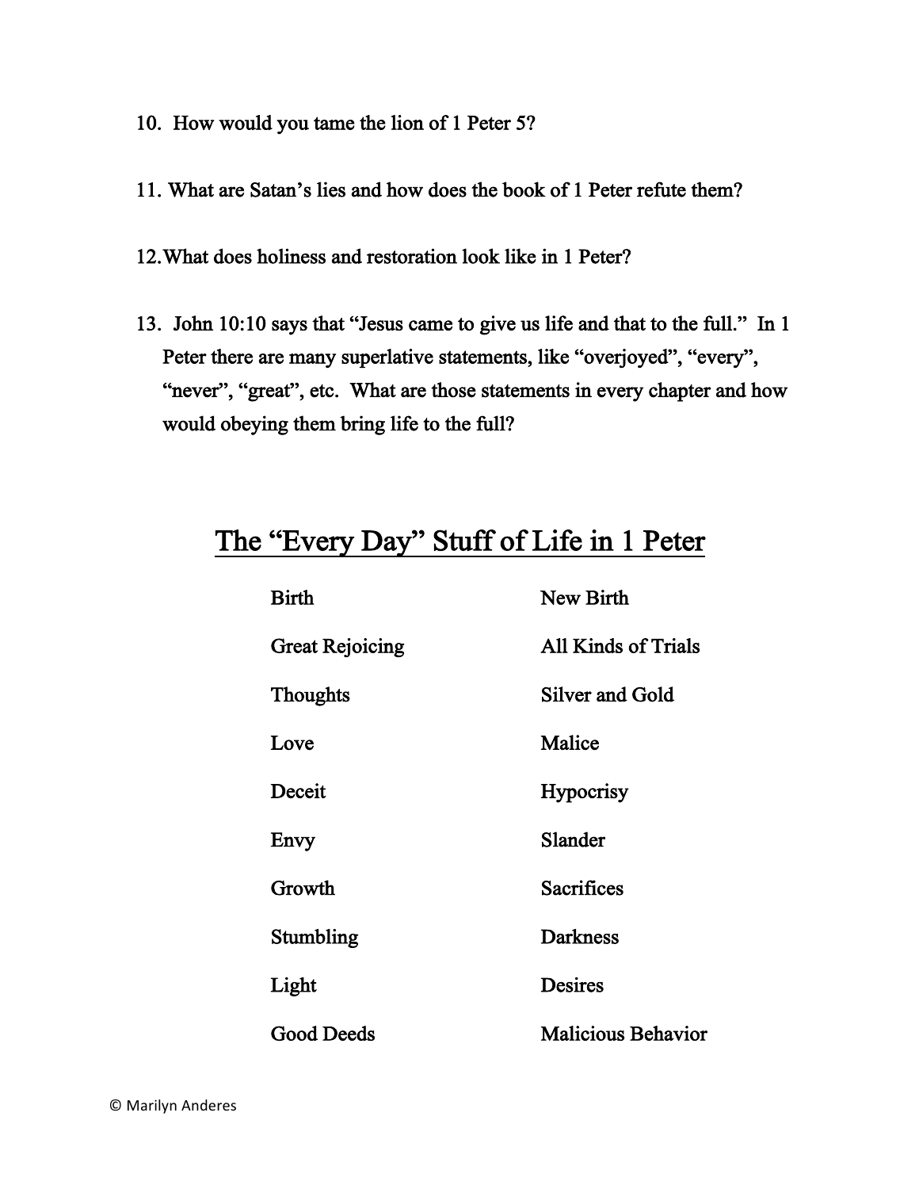- 10. How would you tame the lion of 1 Peter 5?
- 11. What are Satan's lies and how does the book of 1 Peter refute them?
- 12.What does holiness and restoration look like in 1 Peter?
- 13. John 10:10 says that "Jesus came to give us life and that to the full." In 1 Peter there are many superlative statements, like "overjoyed", "every", "never", "great", etc. What are those statements in every chapter and how would obeying them bring life to the full?

# The "Every Day" Stuff of Life in 1 Peter

| <b>Birth</b>           | <b>New Birth</b>          |
|------------------------|---------------------------|
| <b>Great Rejoicing</b> | All Kinds of Trials       |
| <b>Thoughts</b>        | Silver and Gold           |
| Love                   | Malice                    |
| Deceit                 | <b>Hypocrisy</b>          |
| Envy                   | Slander                   |
| Growth                 | <b>Sacrifices</b>         |
| Stumbling              | <b>Darkness</b>           |
| Light                  | <b>Desires</b>            |
| <b>Good Deeds</b>      | <b>Malicious Behavior</b> |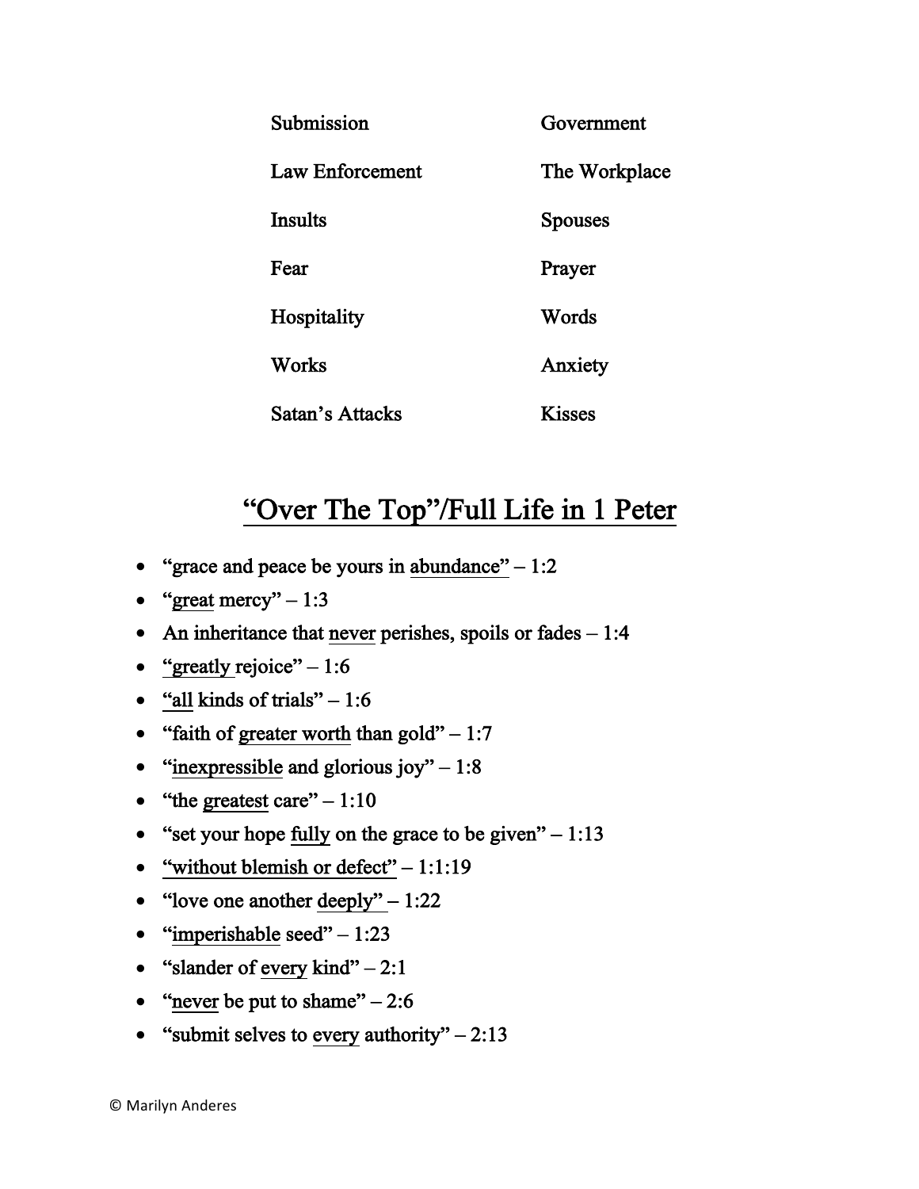| Submission      | Government     |
|-----------------|----------------|
| Law Enforcement | The Workplace  |
| <b>Insults</b>  | <b>Spouses</b> |
| Fear            | Prayer         |
| Hospitality     | Words          |
| Works           | Anxiety        |
| Satan's Attacks | <b>Kisses</b>  |

# "Over The Top"/Full Life in 1 Peter

- "grace and peace be yours in abundance"  $-1:2$
- "great mercy"  $-1:3$
- An inheritance that never perishes, spoils or fades  $-1:4$
- "greatly rejoice"  $-1:6$
- "all kinds of trials"  $-1:6$
- "faith of greater worth than gold"  $-1:7$
- "inexpressible and glorious joy"  $-1:8$
- "the greatest care"  $-1:10$
- "set your hope fully on the grace to be given"  $-1:13$
- "without blemish or defect"  $-1:1:19$
- "love one another  $\text{deeply"} 1:22$
- "imperishable seed"  $-1:23$
- "slander of every kind"  $-2:1$
- "never be put to shame" $-2:6$
- "submit selves to every authority"  $-2.13$